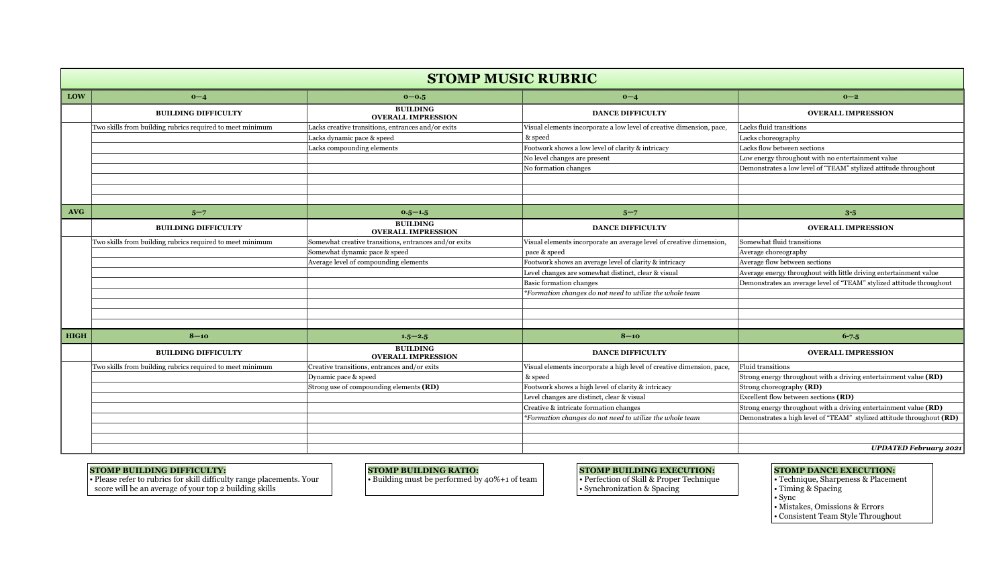| <b>STOMP MUSIC RUBRIC</b> |                                                           |                                                       |                                                                       |                                                                       |  |  |  |  |  |
|---------------------------|-----------------------------------------------------------|-------------------------------------------------------|-----------------------------------------------------------------------|-----------------------------------------------------------------------|--|--|--|--|--|
| LOW                       | $0 - 4$                                                   | $0 - 0.5$                                             | $0 - 4$                                                               | $0 - 2$                                                               |  |  |  |  |  |
|                           | <b>BUILDING DIFFICULTY</b>                                | <b>BUILDING</b><br><b>OVERALL IMPRESSION</b>          | <b>DANCE DIFFICULTY</b>                                               | <b>OVERALL IMPRESSION</b>                                             |  |  |  |  |  |
|                           | Two skills from building rubrics required to meet minimum | Lacks creative transitions, entrances and/or exits    | Visual elements incorporate a low level of creative dimension, pace,  | Lacks fluid transitions                                               |  |  |  |  |  |
|                           |                                                           | Lacks dynamic pace & speed                            | & speed                                                               | Lacks choreography                                                    |  |  |  |  |  |
|                           |                                                           | Lacks compounding elements                            | Footwork shows a low level of clarity & intricacy                     | Lacks flow between sections                                           |  |  |  |  |  |
|                           |                                                           |                                                       | No level changes are present                                          | Low energy throughout with no entertainment value                     |  |  |  |  |  |
|                           |                                                           |                                                       | No formation changes                                                  | Demonstrates a low level of "TEAM" stylized attitude throughout       |  |  |  |  |  |
|                           |                                                           |                                                       |                                                                       |                                                                       |  |  |  |  |  |
|                           |                                                           |                                                       |                                                                       |                                                                       |  |  |  |  |  |
|                           |                                                           |                                                       |                                                                       |                                                                       |  |  |  |  |  |
| <b>AVG</b>                | $5 - 7$                                                   | $0.5 - 1.5$                                           | $5 - 7$                                                               | $3 - 5$                                                               |  |  |  |  |  |
|                           | <b>BUILDING DIFFICULTY</b>                                | <b>BUILDING</b><br><b>OVERALL IMPRESSION</b>          | <b>DANCE DIFFICULTY</b>                                               | <b>OVERALL IMPRESSION</b>                                             |  |  |  |  |  |
|                           | Two skills from building rubrics required to meet minimum | Somewhat creative transitions, entrances and/or exits | Visual elements incorporate an average level of creative dimension,   | Somewhat fluid transitions                                            |  |  |  |  |  |
|                           |                                                           | Somewhat dynamic pace & speed                         | pace & speed                                                          | Average choreography                                                  |  |  |  |  |  |
|                           |                                                           | Average level of compounding elements                 | Footwork shows an average level of clarity & intricacy                | Average flow between sections                                         |  |  |  |  |  |
|                           |                                                           |                                                       | Level changes are somewhat distinct, clear & visual                   | Average energy throughout with little driving entertainment value     |  |  |  |  |  |
|                           |                                                           |                                                       | <b>Basic formation changes</b>                                        | Demonstrates an average level of "TEAM" stylized attitude throughout  |  |  |  |  |  |
|                           |                                                           |                                                       | *Formation changes do not need to utilize the whole team              |                                                                       |  |  |  |  |  |
|                           |                                                           |                                                       |                                                                       |                                                                       |  |  |  |  |  |
|                           |                                                           |                                                       |                                                                       |                                                                       |  |  |  |  |  |
|                           |                                                           |                                                       |                                                                       |                                                                       |  |  |  |  |  |
| <b>HIGH</b>               | $8 - 10$                                                  | $1.5 - 2.5$                                           | $8 - 10$                                                              | $6 - 7.5$                                                             |  |  |  |  |  |
|                           | <b>BUILDING DIFFICULTY</b>                                | <b>BUILDING</b><br><b>OVERALL IMPRESSION</b>          | <b>DANCE DIFFICULTY</b>                                               | <b>OVERALL IMPRESSION</b>                                             |  |  |  |  |  |
|                           | Two skills from building rubrics required to meet minimum | Creative transitions, entrances and/or exits          | Visual elements incorporate a high level of creative dimension, pace, | <b>Fluid transitions</b>                                              |  |  |  |  |  |
|                           |                                                           | Dynamic pace & speed                                  | & speed                                                               | Strong energy throughout with a driving entertainment value (RD)      |  |  |  |  |  |
|                           |                                                           | Strong use of compounding elements (RD)               | Footwork shows a high level of clarity & intricacy                    | Strong choreography (RD)                                              |  |  |  |  |  |
|                           |                                                           |                                                       | Level changes are distinct, clear & visual                            | Excellent flow between sections (RD)                                  |  |  |  |  |  |
|                           |                                                           |                                                       | Creative & intricate formation changes                                | Strong energy throughout with a driving entertainment value (RD)      |  |  |  |  |  |
|                           |                                                           |                                                       | *Formation changes do not need to utilize the whole team              | Demonstrates a high level of "TEAM" stylized attitude throughout (RD) |  |  |  |  |  |
|                           |                                                           |                                                       |                                                                       |                                                                       |  |  |  |  |  |
|                           |                                                           |                                                       |                                                                       |                                                                       |  |  |  |  |  |
|                           |                                                           |                                                       |                                                                       | <b>UPDATED February 2021</b>                                          |  |  |  |  |  |

### **STOMP BUILDING RATIO:**

• Building must be performed by 40%+1 of team

## **STOMP BUILDING DIFFICULTY:**

• Please refer to rubrics for skill difficulty range placements. Your score will be an average of your top 2 building skills

# **STOMP BUILDING EXECUTION:**

• Perfection of Skill & Proper Technique

• Synchronization & Spacing

# **STOMP DANCE EXECUTION:**

- Technique, Sharpeness & Placement
- Timing & Spacing
- Sync
- Mistakes, Omissions & Errors
- Consistent Team Style Throughout